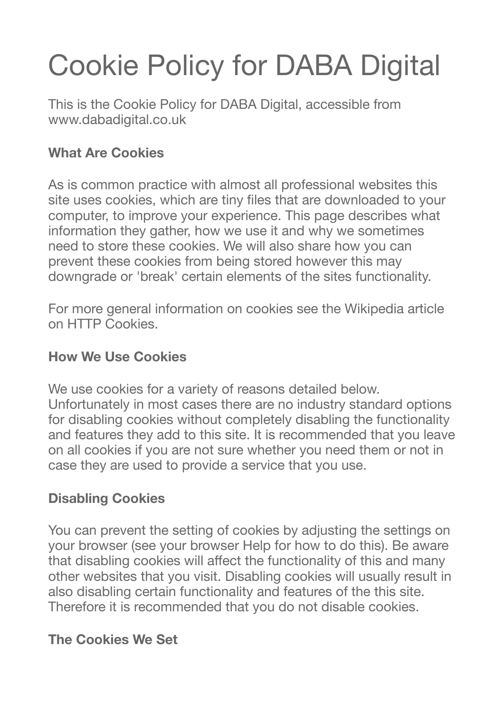# Cookie Policy for DABA Digital

This is the Cookie Policy for DABA Digital, accessible from www.dabadigital.co.uk

## **What Are Cookies**

As is common practice with almost all professional websites this site uses cookies, which are tiny files that are downloaded to your computer, to improve your experience. This page describes what information they gather, how we use it and why we sometimes need to store these cookies. We will also share how you can prevent these cookies from being stored however this may downgrade or 'break' certain elements of the sites functionality.

For more general information on cookies see the Wikipedia article on HTTP Cookies.

#### **How We Use Cookies**

We use cookies for a variety of reasons detailed below. Unfortunately in most cases there are no industry standard options for disabling cookies without completely disabling the functionality and features they add to this site. It is recommended that you leave on all cookies if you are not sure whether you need them or not in case they are used to provide a service that you use.

### **Disabling Cookies**

You can prevent the setting of cookies by adjusting the settings on your browser (see your browser Help for how to do this). Be aware that disabling cookies will affect the functionality of this and many other websites that you visit. Disabling cookies will usually result in also disabling certain functionality and features of the this site. Therefore it is recommended that you do not disable cookies.

### **The Cookies We Set**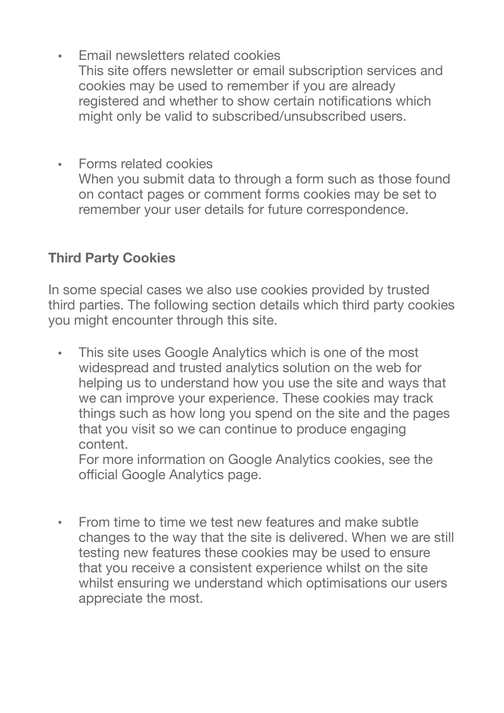- Email newsletters related cookies This site offers newsletter or email subscription services and cookies may be used to remember if you are already registered and whether to show certain notifications which might only be valid to subscribed/unsubscribed users.
- Forms related cookies When you submit data to through a form such as those found on contact pages or comment forms cookies may be set to remember your user details for future correspondence.

#### **Third Party Cookies**

In some special cases we also use cookies provided by trusted third parties. The following section details which third party cookies you might encounter through this site.

This site uses Google Analytics which is one of the most widespread and trusted analytics solution on the web for helping us to understand how you use the site and ways that we can improve your experience. These cookies may track things such as how long you spend on the site and the pages that you visit so we can continue to produce engaging content.

For more information on Google Analytics cookies, see the official Google Analytics page.

• From time to time we test new features and make subtle changes to the way that the site is delivered. When we are still testing new features these cookies may be used to ensure that you receive a consistent experience whilst on the site whilst ensuring we understand which optimisations our users appreciate the most.